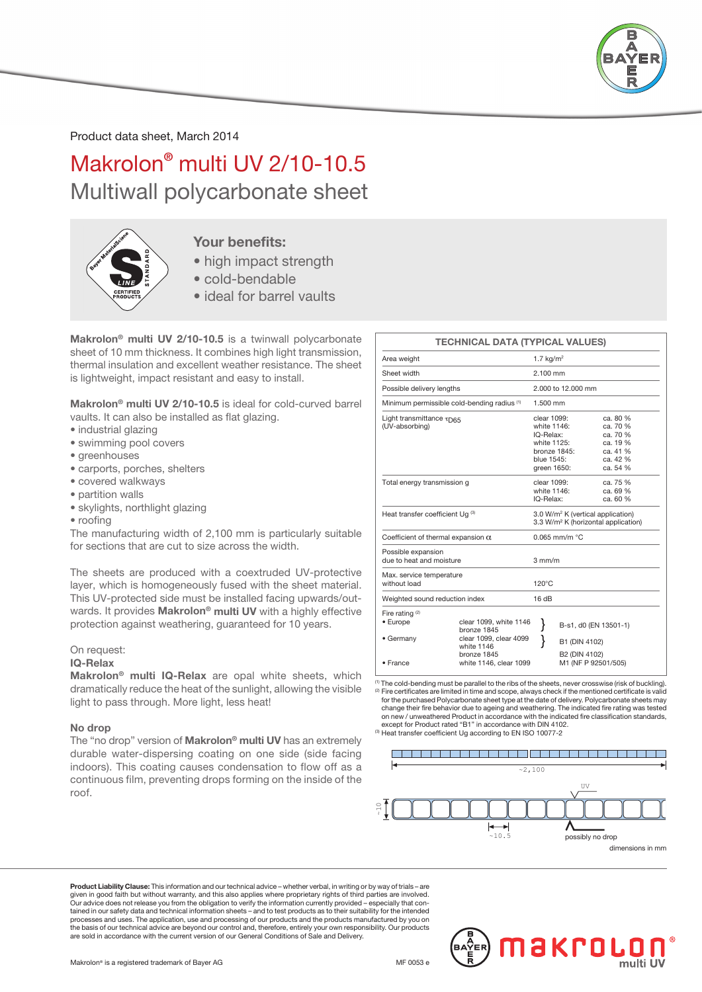

Product data sheet, March 2014

Makrolon® multi UV 2/10-10.5 Multiwall polycarbonate sheet



### Your benefits:

- high impact strength
- cold-bendable
- ideal for barrel vaults

Makrolon<sup>®</sup> multi UV 2/10-10.5 is a twinwall polycarbonate sheet of 10 mm thickness. It combines high light transmission, thermal insulation and excellent weather resistance. The sheet is lightweight, impact resistant and easy to install.

Makrolon® multi UV 2/10-10.5 is ideal for cold-curved barrel vaults. It can also be installed as flat glazing.

- industrial glazing
- swimming pool covers
- greenhouses
- carports, porches, shelters
- covered walkways
- partition walls
- skylights, northlight glazing
- roofing

The manufacturing width of 2,100 mm is particularly suitable for sections that are cut to size across the width.

The sheets are produced with a coextruded UV-protective layer, which is homogeneously fused with the sheet material. This UV-protected side must be installed facing upwards/outwards. It provides Makrolon<sup>®</sup> multi UV with a highly effective protection against weathering, guaranteed for 10 years.

#### On request:

#### IQ-Relax

Makrolon® multi IQ-Relax are opal white sheets, which dramatically reduce the heat of the sunlight, allowing the visible light to pass through. More light, less heat!

#### No drop

The "no drop" version of Makrolon<sup>®</sup> multi UV has an extremely durable water-dispersing coating on one side (side facing indoors). This coating causes condensation to flow off as a continuous film, preventing drops forming on the inside of the roof.

|                                                     | <b>TECHNICAL DATA (TYPICAL VALUES)</b>                                                       |                                                                                                  |                                                                                                  |  |  |  |  |
|-----------------------------------------------------|----------------------------------------------------------------------------------------------|--------------------------------------------------------------------------------------------------|--------------------------------------------------------------------------------------------------|--|--|--|--|
| Area weight                                         |                                                                                              | 1.7 $kg/m2$                                                                                      |                                                                                                  |  |  |  |  |
| Sheet width                                         |                                                                                              |                                                                                                  | $2100 \, \text{mm}$                                                                              |  |  |  |  |
| Possible delivery lengths                           |                                                                                              | 2.000 to 12.000 mm                                                                               |                                                                                                  |  |  |  |  |
| Minimum permissible cold-bending radius (1)         |                                                                                              |                                                                                                  | $1.500$ mm                                                                                       |  |  |  |  |
| Light transmittance TD65<br>(UV-absorbing)          |                                                                                              | clear 1099:<br>white 1146:<br>IQ-Relax:<br>white 1125:<br>blue 1545:<br>green 1650:              | ca. 80 %<br>ca. 70 %<br>ca. 70 %<br>ca. 19 %<br>bronze 1845:<br>ca. 41 %<br>ca. 42 %<br>ca. 54 % |  |  |  |  |
| Total energy transmission g                         |                                                                                              |                                                                                                  | ca. 75 %<br>clear 1099:<br>white 1146:<br>ca. 69 %<br>IQ-Relax:<br>ca. 60 %                      |  |  |  |  |
| Heat transfer coefficient Uq (3)                    |                                                                                              | 3.0 W/m <sup>2</sup> K (vertical application)<br>3.3 W/m <sup>2</sup> K (horizontal application) |                                                                                                  |  |  |  |  |
| Coefficient of thermal expansion $\alpha$           |                                                                                              |                                                                                                  | $0.065$ mm/m $°C$                                                                                |  |  |  |  |
| Possible expansion<br>due to heat and moisture      |                                                                                              |                                                                                                  | $3 \text{ mm/m}$                                                                                 |  |  |  |  |
| Max. service temperature<br>without load            |                                                                                              | $120^{\circ}$ C                                                                                  |                                                                                                  |  |  |  |  |
| Weighted sound reduction index                      |                                                                                              | 16dB                                                                                             |                                                                                                  |  |  |  |  |
| Fire rating <sup>(2)</sup><br>• Europe<br>• Germany | clear 1099, white 1146<br>bronze 1845<br>clear 1099, clear 4099<br>white 1146<br>bronze 1845 | }                                                                                                | B-s1, d0 (EN 13501-1)<br>B1 (DIN 4102)<br>B2 (DIN 4102)                                          |  |  |  |  |
| • France                                            | white 1146, clear 1099                                                                       |                                                                                                  | M1 (NF P 92501/505)                                                                              |  |  |  |  |

(1) The cold-bending must be parallel to the ribs of the sheets, never crosswise (risk of buckling). Fire certificates are limited in time and scope, always check if the mentioned certificate is valid for the purchased Polycarbonate sheet type at the date of delivery. Polycarbonate sheets may change their fire behavior due to ageing and weathering. The indicated fire rating was tested on new / unweathered Product in accordance with the indicated fire classification standards, except for Product rated "B1" in accordance with DIN 4102. (3) Heat transfer coefficient Ug according to EN ISO 10077-2

#### 



dimensions in mm

Product Liability Clause: This information and our technical advice – whether verbal, in writing or by way of trials – are given in good faith but without warranty, and this also applies where proprietary rights of third parties are involved.<br>Our advice does not release you from the obligation to verify the information currently provided – esp tained in our safety data and technical information sheets – and to test products as to their suitability for the intended processes and uses. The application, use and processing of our products and the products manufactured by you on the basis of our technical advice are beyond our control and, therefore, entirely your own responsibility. Our products are sold in accordance with the current version of our General Conditions of Sale and Delivery.